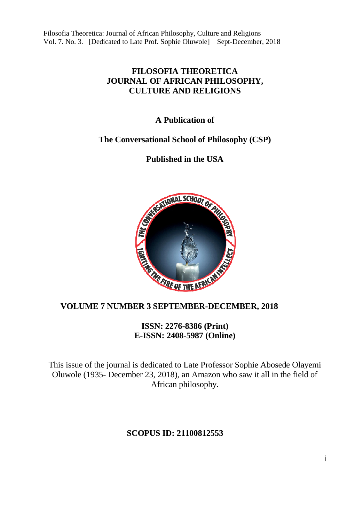## **FILOSOFIA THEORETICA JOURNAL OF AFRICAN PHILOSOPHY, CULTURE AND RELIGIONS**

# **A Publication of**

# **The Conversational School of Philosophy (CSP)**

# **Published in the USA**



 **VOLUME 7 NUMBER 3 SEPTEMBER-DECEMBER, 2018<br>
ISSN: 2276-8386 (Print)<br>E-ISSN: 2408-5987 (Online) ISSN: 2276-8386 (Print) E-ISSN: 2408-5987 (Online)**

This issue of the journal is dedicated to Late Professor Sophie Abosede Olayemi Oluwole (1935- December 23, 2018), an Amazon who saw it all in the field of African philosophy.

# **SCOPUS ID: 21100812553**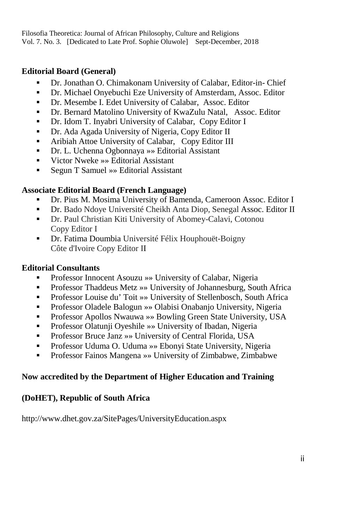## **Editorial Board (General)**

- Dr. Jonathan O. Chimakonam University of Calabar, Editor-in- Chief
- Dr. Michael Onyebuchi Eze University of Amsterdam, Assoc. Editor
- Dr. Mesembe I. Edet University of Calabar, Assoc. Editor
- Dr. Bernard Matolino University of KwaZulu Natal, Assoc. Editor
- Dr. Idom T. Inyabri University of Calabar, Copy Editor I
- Dr. Ada Agada University of Nigeria, Copy Editor II
- Aribiah Attoe University of Calabar, Copy Editor III
- Dr. L. Uchenna Ogbonnaya »» Editorial Assistant
- Victor Nweke »» Editorial Assistant
- Segun T Samuel » Editorial Assistant

## **Associate Editorial Board (French Language)**

- Dr. Pius M. Mosima University of Bamenda, Cameroon Assoc. Editor I
- Dr. Bado Ndoye Université Cheikh Anta Diop, Senegal Assoc. Editor II
- Dr. Paul Christian Kiti University of Abomey-Calavi, Cotonou Copy Editor I
- Dr. Fatima Doumbia Université Félix Houphouët-Boigny Côte d'Ivoire Copy Editor II

## **Editorial Consultants**

- Professor Innocent Asouzu »» University of Calabar, Nigeria
- Professor Thaddeus Metz »» University of Johannesburg, South Africa
- Professor Louise du' Toit »» University of Stellenbosch, South Africa
- Professor Oladele Balogun »» Olabisi Onabanjo University, Nigeria
- Professor Apollos Nwauwa »» Bowling Green State University, USA
- Professor Olatunji Oyeshile »» University of Ibadan, Nigeria
- Professor Bruce Janz »» University of Central Florida, USA
- Professor Uduma O. Uduma »» Ebonyi State University, Nigeria
- Professor Fainos Mangena »» University of Zimbabwe, Zimbabwe

# **Now accredited by the Department of Higher Education and Training**

# **(DoHET), Republic of South Africa**

http://www.dhet.gov.za/SitePages/UniversityEducation.aspx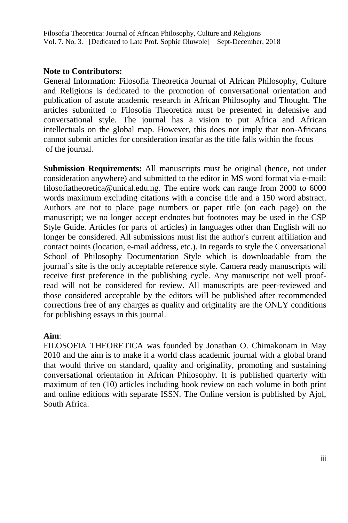## **Note to Contributors:**

General Information: Filosofia Theoretica Journal of African Philosophy, Culture and Religions is dedicated to the promotion of conversational orientation and publication of astute academic research in African Philosophy and Thought. The articles submitted to Filosofia Theoretica must be presented in defensive and conversational style. The journal has a vision to put Africa and African intellectuals on the global map. However, this does not imply that non-Africans cannot submit articles for consideration insofar as the title falls within the focus of the journal.

**Submission Requirements:** All manuscripts must be original (hence, not under consideration anywhere) and submitted to the editor in MS word format via e-mail: filosofiatheoretica@unical.edu.ng. The entire work can range from 2000 to 6000 words maximum excluding citations with a concise title and a 150 word abstract. Authors are not to place page numbers or paper title (on each page) on the manuscript; we no longer accept endnotes but footnotes may be used in the CSP Style Guide. Articles (or parts of articles) in languages other than English will no longer be considered. All submissions must list the author's current affiliation and contact points (location, e-mail address, etc.). In regards to style the Conversational School of Philosophy Documentation Style which is downloadable from the journal's site is the only acceptable reference style. Camera ready manuscripts will receive first preference in the publishing cycle. Any manuscript not well proofread will not be considered for review. All manuscripts are peer-reviewed and those considered acceptable by the editors will be published after recommended corrections free of any charges as quality and originality are the ONLY conditions for publishing essays in this journal.

#### **Aim**:

FILOSOFIA THEORETICA was founded by Jonathan O. Chimakonam in May 2010 and the aim is to make it a world class academic journal with a global brand that would thrive on standard, quality and originality, promoting and sustaining conversational orientation in African Philosophy. It is published quarterly with maximum of ten (10) articles including book review on each volume in both print and online editions with separate ISSN. The Online version is published by Ajol, South Africa.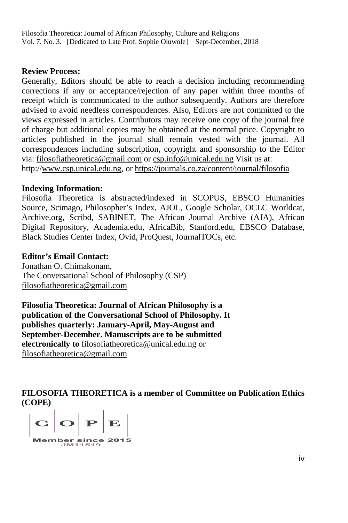### **Review Process:**

Generally, Editors should be able to reach a decision including recommending corrections if any or acceptance/rejection of any paper within three months of receipt which is communicated to the author subsequently. Authors are therefore advised to avoid needless correspondences. Also, Editors are not committed to the views expressed in articles. Contributors may receive one copy of the journal free of charge but additional copies may be obtained at the normal price. Copyright to articles published in the journal shall remain vested with the journal. All correspondences including subscription, copyright and sponsorship to the Editor via: filosofiatheoretica@gmail.com or csp.info@unical.edu.ng http://www.csp.unical.edu.ng, or https://journals.co.za/content/journal/filosofia n the journal shall remain vested with the journal<br>luding subscription, copyright and sponsorship to the<br>ca@gmail.com or csp.info@unical.edu.ng Visit us at:

## **Indexing Information:**

Filosofia Theoretica is abstracted/indexed in SCOPUS, EBSCO Humanities Source, Scimago, Philosopher's Index, AJOL, Google Scholar, OCLC Worldcat, Archive.org, Scribd, SABINET, The African Journal Archive (AJA), African Digital Repository, Academia.edu, AfricaBib, Stanford.edu, EBSCO Database, Black Studies Center Index, Ovid, ProQuest, JournalTOCs, etc.

## **Editor's Email Contact:**

Jonathan O. Chimakonam, The Conversational School of Philosophy (CSP) filosofiatheoretica@gmail.com

**Filosofia Theoretica: Journal of African Philosophy is a publication of the Conversational School of Philosophy. It publishes quarterly: January-April, May-August and September-December. Manuscripts are to be submitted electronically to** filosofiatheoretica@unical.edu.ng or filosofiatheoretica@gmail.com

FILOSOFIA THEORETICA is a member of Committee on Publication Ethics **(COPE)** 

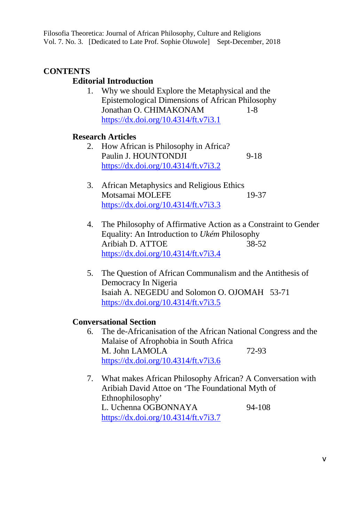## **CONTENTS**

## **Editorial Introduction**

1. Why we should Explore the Metaphysical and the Epistemological Dimensions of African Philosophy Jonathan O. CHIMAKONAM 1-8 https://dx.doi.org/10.4314/ft.v7i3.1

## **Research Articles**

- 2. How African is Philosophy in Africa? Paulin J. HOUNTONDJI 9-18 https://dx.doi.org/10.4314/ft.v7i3.2
- 3. African Metaphysics and Religious Ethics Motsamai MOLEFE 19-37 https://dx.doi.org/10.4314/ft.v7i3.3
- 4. The Philosophy of Affirmative Action as a Constraint to Gender Equality: An Introduction to *Ukém* Philosophy Aribiah D. ATTOE 38-52 https://dx.doi.org/10.4314/ft.v7i3.4
- 5. The Question of African Communalism and the Antithesis of Democracy In Nigeria Isaiah A. NEGEDU and Solomon O. OJOMAH 53-71 https://dx.doi.org/10.4314/ft.v7i3.5

## **Conversational Section**

- 6. The de-Africanisation of the African National Congress and the Malaise of Afrophobia in South Africa M. John LAMOLA 72-93 https://dx.doi.org/10.4314/ft.v7i3.6
- 7. What makes African Philosophy African? A Conversation with Aribiah David Attoe on 'The Foundational Myth of Ethnophilosophy' L. Uchenna OGBONNAYA 94-108 https://dx.doi.org/10.4314/ft.v7i3.7